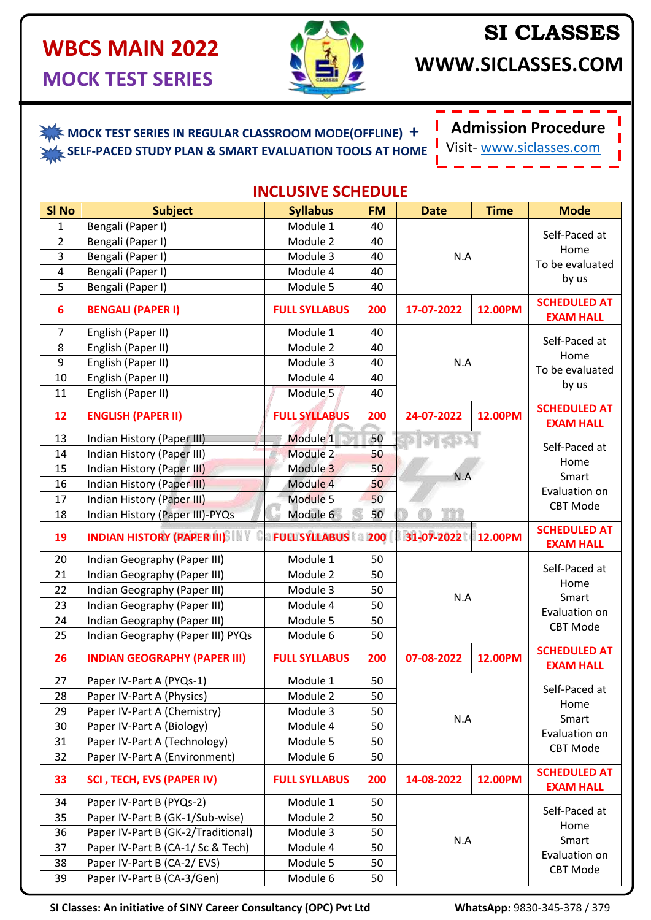#### **WBCS MAIN 2022 MOCK TEST SERIES**



# **SI CLASSES**

**WWW.SICLASSES.COM**

## **MOCK TEST SERIES IN REGULAR CLASSROOM MODE(OFFLINE) +**

 **SELF-PACED STUDY PLAN & SMART EVALUATION TOOLS AT HOME**



Visit- [www.siclasses.com](http://www.siclasses.com/)

| <b>INCLUSIVE SCHEDULE</b> |
|---------------------------|
|---------------------------|

| Bengali (Paper I)<br>Module 1<br>$\mathbf{1}$<br>40<br>Self-Paced at<br>$\overline{2}$<br>Module 2<br>40<br>Bengali (Paper I)<br>Home<br>3<br>Bengali (Paper I)<br>Module 3<br>40<br>N.A<br>To be evaluated<br>Module 4<br>$\overline{4}$<br>Bengali (Paper I)<br>40<br>by us<br>5<br>Bengali (Paper I)<br>Module 5<br>40<br><b>SCHEDULED AT</b><br><b>BENGALI (PAPER I)</b><br>$6\phantom{1}6$<br><b>FULL SYLLABUS</b><br>200<br>17-07-2022<br>12.00PM<br><b>EXAM HALL</b><br>$\overline{7}$<br>English (Paper II)<br>Module 1<br>40<br>Self-Paced at<br>8<br>Module 2<br>English (Paper II)<br>40<br>Home<br>9<br>English (Paper II)<br>Module 3<br>40<br>N.A<br>To be evaluated<br>10<br>English (Paper II)<br>Module 4<br>40<br>by us<br>Module <sub>5</sub><br>11<br>English (Paper II)<br>40<br><b>SCHEDULED AT</b><br><b>ENGLISH (PAPER II)</b><br>12.00PM<br>12<br><b>FULL SYLLABUS</b><br>200<br>24-07-2022<br><b>EXAM HALL</b><br>Module 1<br>13<br>Indian History (Paper III)<br>50<br>Self-Paced at<br>Indian History (Paper III)<br>Module 2<br>50<br>14<br>Home<br>Module 3<br>50<br>15<br>Indian History (Paper III)<br>Smart<br>N.A<br>16<br>Indian History (Paper III)<br>Module 4<br>50<br>Evaluation on<br>Indian History (Paper III)<br>Module 5<br>17<br>50<br><b>CBT Mode</b><br>Module 6<br>50<br>Indian History (Paper III)-PYQs<br>18<br><b>SCHEDULED AT</b><br><b>Ca FULL SYLLABUS ta 200</b><br><b>INDIAN HISTORY (PAPER III)</b><br>31-07-2022 12.00PM<br>19<br><b>EXAM HALL</b><br>Indian Geography (Paper III)<br>Module 1<br>50<br>20<br>Self-Paced at<br>50<br>21<br>Indian Geography (Paper III)<br>Module 2<br>Home<br>Indian Geography (Paper III)<br>22<br>Module 3<br>50<br>N.A<br>Smart<br>23<br>Indian Geography (Paper III)<br>Module 4<br>50<br>Evaluation on<br>50<br>24<br>Indian Geography (Paper III)<br>Module 5<br><b>CBT Mode</b><br>50<br>25<br>Indian Geography (Paper III) PYQs<br>Module 6<br><b>SCHEDULED AT</b><br>12.00PM<br>26<br><b>INDIAN GEOGRAPHY (PAPER III)</b><br>07-08-2022<br><b>FULL SYLLABUS</b><br>200<br><b>EXAM HALL</b><br>27<br>Paper IV-Part A (PYQs-1)<br>Module 1<br>50<br>Self-Paced at<br>28<br>Paper IV-Part A (Physics)<br>Module 2<br>50<br>Home<br>Module 3<br>29<br>Paper IV-Part A (Chemistry)<br>50<br>N.A<br>Smart<br>50<br>30<br>Paper IV-Part A (Biology)<br>Module 4<br>Evaluation on<br>Paper IV-Part A (Technology)<br>31<br>Module 5<br>50<br><b>CBT Mode</b><br>32<br>Module 6<br>Paper IV-Part A (Environment)<br>50<br><b>SCHEDULED AT</b><br>33<br>SCI, TECH, EVS (PAPER IV)<br><b>FULL SYLLABUS</b><br>14-08-2022<br>200<br>12.00PM<br><b>EXAM HALL</b><br>Module 1<br>34<br>Paper IV-Part B (PYQs-2)<br>50<br>Self-Paced at<br>35<br>Paper IV-Part B (GK-1/Sub-wise)<br>Module 2<br>50<br>Home<br>36<br>Paper IV-Part B (GK-2/Traditional)<br>Module 3<br>50<br>N.A<br>Smart<br>37<br>Paper IV-Part B (CA-1/Sc & Tech)<br>Module 4<br>50<br>Evaluation on<br>Paper IV-Part B (CA-2/EVS)<br>Module 5<br>50<br>38<br>CBT Mode<br>39<br>Paper IV-Part B (CA-3/Gen)<br>Module 6<br>50 | SI <sub>No</sub> | <b>Subject</b> | <b>Syllabus</b> | <b>FM</b> | <b>Time</b><br><b>Date</b> |  | <b>Mode</b> |  |
|------------------------------------------------------------------------------------------------------------------------------------------------------------------------------------------------------------------------------------------------------------------------------------------------------------------------------------------------------------------------------------------------------------------------------------------------------------------------------------------------------------------------------------------------------------------------------------------------------------------------------------------------------------------------------------------------------------------------------------------------------------------------------------------------------------------------------------------------------------------------------------------------------------------------------------------------------------------------------------------------------------------------------------------------------------------------------------------------------------------------------------------------------------------------------------------------------------------------------------------------------------------------------------------------------------------------------------------------------------------------------------------------------------------------------------------------------------------------------------------------------------------------------------------------------------------------------------------------------------------------------------------------------------------------------------------------------------------------------------------------------------------------------------------------------------------------------------------------------------------------------------------------------------------------------------------------------------------------------------------------------------------------------------------------------------------------------------------------------------------------------------------------------------------------------------------------------------------------------------------------------------------------------------------------------------------------------------------------------------------------------------------------------------------------------------------------------------------------------------------------------------------------------------------------------------------------------------------------------------------------------------------------------------------------------------------------------------------------------------------------------------------------------------------------------------------------------------------------------------------------------------------------------------------------------------------------------------------------------------------------------------------------------------------------------------------------------------|------------------|----------------|-----------------|-----------|----------------------------|--|-------------|--|
|                                                                                                                                                                                                                                                                                                                                                                                                                                                                                                                                                                                                                                                                                                                                                                                                                                                                                                                                                                                                                                                                                                                                                                                                                                                                                                                                                                                                                                                                                                                                                                                                                                                                                                                                                                                                                                                                                                                                                                                                                                                                                                                                                                                                                                                                                                                                                                                                                                                                                                                                                                                                                                                                                                                                                                                                                                                                                                                                                                                                                                                                                    |                  |                |                 |           |                            |  |             |  |
|                                                                                                                                                                                                                                                                                                                                                                                                                                                                                                                                                                                                                                                                                                                                                                                                                                                                                                                                                                                                                                                                                                                                                                                                                                                                                                                                                                                                                                                                                                                                                                                                                                                                                                                                                                                                                                                                                                                                                                                                                                                                                                                                                                                                                                                                                                                                                                                                                                                                                                                                                                                                                                                                                                                                                                                                                                                                                                                                                                                                                                                                                    |                  |                |                 |           |                            |  |             |  |
|                                                                                                                                                                                                                                                                                                                                                                                                                                                                                                                                                                                                                                                                                                                                                                                                                                                                                                                                                                                                                                                                                                                                                                                                                                                                                                                                                                                                                                                                                                                                                                                                                                                                                                                                                                                                                                                                                                                                                                                                                                                                                                                                                                                                                                                                                                                                                                                                                                                                                                                                                                                                                                                                                                                                                                                                                                                                                                                                                                                                                                                                                    |                  |                |                 |           |                            |  |             |  |
|                                                                                                                                                                                                                                                                                                                                                                                                                                                                                                                                                                                                                                                                                                                                                                                                                                                                                                                                                                                                                                                                                                                                                                                                                                                                                                                                                                                                                                                                                                                                                                                                                                                                                                                                                                                                                                                                                                                                                                                                                                                                                                                                                                                                                                                                                                                                                                                                                                                                                                                                                                                                                                                                                                                                                                                                                                                                                                                                                                                                                                                                                    |                  |                |                 |           |                            |  |             |  |
|                                                                                                                                                                                                                                                                                                                                                                                                                                                                                                                                                                                                                                                                                                                                                                                                                                                                                                                                                                                                                                                                                                                                                                                                                                                                                                                                                                                                                                                                                                                                                                                                                                                                                                                                                                                                                                                                                                                                                                                                                                                                                                                                                                                                                                                                                                                                                                                                                                                                                                                                                                                                                                                                                                                                                                                                                                                                                                                                                                                                                                                                                    |                  |                |                 |           |                            |  |             |  |
|                                                                                                                                                                                                                                                                                                                                                                                                                                                                                                                                                                                                                                                                                                                                                                                                                                                                                                                                                                                                                                                                                                                                                                                                                                                                                                                                                                                                                                                                                                                                                                                                                                                                                                                                                                                                                                                                                                                                                                                                                                                                                                                                                                                                                                                                                                                                                                                                                                                                                                                                                                                                                                                                                                                                                                                                                                                                                                                                                                                                                                                                                    |                  |                |                 |           |                            |  |             |  |
|                                                                                                                                                                                                                                                                                                                                                                                                                                                                                                                                                                                                                                                                                                                                                                                                                                                                                                                                                                                                                                                                                                                                                                                                                                                                                                                                                                                                                                                                                                                                                                                                                                                                                                                                                                                                                                                                                                                                                                                                                                                                                                                                                                                                                                                                                                                                                                                                                                                                                                                                                                                                                                                                                                                                                                                                                                                                                                                                                                                                                                                                                    |                  |                |                 |           |                            |  |             |  |
|                                                                                                                                                                                                                                                                                                                                                                                                                                                                                                                                                                                                                                                                                                                                                                                                                                                                                                                                                                                                                                                                                                                                                                                                                                                                                                                                                                                                                                                                                                                                                                                                                                                                                                                                                                                                                                                                                                                                                                                                                                                                                                                                                                                                                                                                                                                                                                                                                                                                                                                                                                                                                                                                                                                                                                                                                                                                                                                                                                                                                                                                                    |                  |                |                 |           |                            |  |             |  |
|                                                                                                                                                                                                                                                                                                                                                                                                                                                                                                                                                                                                                                                                                                                                                                                                                                                                                                                                                                                                                                                                                                                                                                                                                                                                                                                                                                                                                                                                                                                                                                                                                                                                                                                                                                                                                                                                                                                                                                                                                                                                                                                                                                                                                                                                                                                                                                                                                                                                                                                                                                                                                                                                                                                                                                                                                                                                                                                                                                                                                                                                                    |                  |                |                 |           |                            |  |             |  |
|                                                                                                                                                                                                                                                                                                                                                                                                                                                                                                                                                                                                                                                                                                                                                                                                                                                                                                                                                                                                                                                                                                                                                                                                                                                                                                                                                                                                                                                                                                                                                                                                                                                                                                                                                                                                                                                                                                                                                                                                                                                                                                                                                                                                                                                                                                                                                                                                                                                                                                                                                                                                                                                                                                                                                                                                                                                                                                                                                                                                                                                                                    |                  |                |                 |           |                            |  |             |  |
|                                                                                                                                                                                                                                                                                                                                                                                                                                                                                                                                                                                                                                                                                                                                                                                                                                                                                                                                                                                                                                                                                                                                                                                                                                                                                                                                                                                                                                                                                                                                                                                                                                                                                                                                                                                                                                                                                                                                                                                                                                                                                                                                                                                                                                                                                                                                                                                                                                                                                                                                                                                                                                                                                                                                                                                                                                                                                                                                                                                                                                                                                    |                  |                |                 |           |                            |  |             |  |
|                                                                                                                                                                                                                                                                                                                                                                                                                                                                                                                                                                                                                                                                                                                                                                                                                                                                                                                                                                                                                                                                                                                                                                                                                                                                                                                                                                                                                                                                                                                                                                                                                                                                                                                                                                                                                                                                                                                                                                                                                                                                                                                                                                                                                                                                                                                                                                                                                                                                                                                                                                                                                                                                                                                                                                                                                                                                                                                                                                                                                                                                                    |                  |                |                 |           |                            |  |             |  |
|                                                                                                                                                                                                                                                                                                                                                                                                                                                                                                                                                                                                                                                                                                                                                                                                                                                                                                                                                                                                                                                                                                                                                                                                                                                                                                                                                                                                                                                                                                                                                                                                                                                                                                                                                                                                                                                                                                                                                                                                                                                                                                                                                                                                                                                                                                                                                                                                                                                                                                                                                                                                                                                                                                                                                                                                                                                                                                                                                                                                                                                                                    |                  |                |                 |           |                            |  |             |  |
|                                                                                                                                                                                                                                                                                                                                                                                                                                                                                                                                                                                                                                                                                                                                                                                                                                                                                                                                                                                                                                                                                                                                                                                                                                                                                                                                                                                                                                                                                                                                                                                                                                                                                                                                                                                                                                                                                                                                                                                                                                                                                                                                                                                                                                                                                                                                                                                                                                                                                                                                                                                                                                                                                                                                                                                                                                                                                                                                                                                                                                                                                    |                  |                |                 |           |                            |  |             |  |
|                                                                                                                                                                                                                                                                                                                                                                                                                                                                                                                                                                                                                                                                                                                                                                                                                                                                                                                                                                                                                                                                                                                                                                                                                                                                                                                                                                                                                                                                                                                                                                                                                                                                                                                                                                                                                                                                                                                                                                                                                                                                                                                                                                                                                                                                                                                                                                                                                                                                                                                                                                                                                                                                                                                                                                                                                                                                                                                                                                                                                                                                                    |                  |                |                 |           |                            |  |             |  |
|                                                                                                                                                                                                                                                                                                                                                                                                                                                                                                                                                                                                                                                                                                                                                                                                                                                                                                                                                                                                                                                                                                                                                                                                                                                                                                                                                                                                                                                                                                                                                                                                                                                                                                                                                                                                                                                                                                                                                                                                                                                                                                                                                                                                                                                                                                                                                                                                                                                                                                                                                                                                                                                                                                                                                                                                                                                                                                                                                                                                                                                                                    |                  |                |                 |           |                            |  |             |  |
|                                                                                                                                                                                                                                                                                                                                                                                                                                                                                                                                                                                                                                                                                                                                                                                                                                                                                                                                                                                                                                                                                                                                                                                                                                                                                                                                                                                                                                                                                                                                                                                                                                                                                                                                                                                                                                                                                                                                                                                                                                                                                                                                                                                                                                                                                                                                                                                                                                                                                                                                                                                                                                                                                                                                                                                                                                                                                                                                                                                                                                                                                    |                  |                |                 |           |                            |  |             |  |
|                                                                                                                                                                                                                                                                                                                                                                                                                                                                                                                                                                                                                                                                                                                                                                                                                                                                                                                                                                                                                                                                                                                                                                                                                                                                                                                                                                                                                                                                                                                                                                                                                                                                                                                                                                                                                                                                                                                                                                                                                                                                                                                                                                                                                                                                                                                                                                                                                                                                                                                                                                                                                                                                                                                                                                                                                                                                                                                                                                                                                                                                                    |                  |                |                 |           |                            |  |             |  |
|                                                                                                                                                                                                                                                                                                                                                                                                                                                                                                                                                                                                                                                                                                                                                                                                                                                                                                                                                                                                                                                                                                                                                                                                                                                                                                                                                                                                                                                                                                                                                                                                                                                                                                                                                                                                                                                                                                                                                                                                                                                                                                                                                                                                                                                                                                                                                                                                                                                                                                                                                                                                                                                                                                                                                                                                                                                                                                                                                                                                                                                                                    |                  |                |                 |           |                            |  |             |  |
|                                                                                                                                                                                                                                                                                                                                                                                                                                                                                                                                                                                                                                                                                                                                                                                                                                                                                                                                                                                                                                                                                                                                                                                                                                                                                                                                                                                                                                                                                                                                                                                                                                                                                                                                                                                                                                                                                                                                                                                                                                                                                                                                                                                                                                                                                                                                                                                                                                                                                                                                                                                                                                                                                                                                                                                                                                                                                                                                                                                                                                                                                    |                  |                |                 |           |                            |  |             |  |
|                                                                                                                                                                                                                                                                                                                                                                                                                                                                                                                                                                                                                                                                                                                                                                                                                                                                                                                                                                                                                                                                                                                                                                                                                                                                                                                                                                                                                                                                                                                                                                                                                                                                                                                                                                                                                                                                                                                                                                                                                                                                                                                                                                                                                                                                                                                                                                                                                                                                                                                                                                                                                                                                                                                                                                                                                                                                                                                                                                                                                                                                                    |                  |                |                 |           |                            |  |             |  |
|                                                                                                                                                                                                                                                                                                                                                                                                                                                                                                                                                                                                                                                                                                                                                                                                                                                                                                                                                                                                                                                                                                                                                                                                                                                                                                                                                                                                                                                                                                                                                                                                                                                                                                                                                                                                                                                                                                                                                                                                                                                                                                                                                                                                                                                                                                                                                                                                                                                                                                                                                                                                                                                                                                                                                                                                                                                                                                                                                                                                                                                                                    |                  |                |                 |           |                            |  |             |  |
|                                                                                                                                                                                                                                                                                                                                                                                                                                                                                                                                                                                                                                                                                                                                                                                                                                                                                                                                                                                                                                                                                                                                                                                                                                                                                                                                                                                                                                                                                                                                                                                                                                                                                                                                                                                                                                                                                                                                                                                                                                                                                                                                                                                                                                                                                                                                                                                                                                                                                                                                                                                                                                                                                                                                                                                                                                                                                                                                                                                                                                                                                    |                  |                |                 |           |                            |  |             |  |
|                                                                                                                                                                                                                                                                                                                                                                                                                                                                                                                                                                                                                                                                                                                                                                                                                                                                                                                                                                                                                                                                                                                                                                                                                                                                                                                                                                                                                                                                                                                                                                                                                                                                                                                                                                                                                                                                                                                                                                                                                                                                                                                                                                                                                                                                                                                                                                                                                                                                                                                                                                                                                                                                                                                                                                                                                                                                                                                                                                                                                                                                                    |                  |                |                 |           |                            |  |             |  |
|                                                                                                                                                                                                                                                                                                                                                                                                                                                                                                                                                                                                                                                                                                                                                                                                                                                                                                                                                                                                                                                                                                                                                                                                                                                                                                                                                                                                                                                                                                                                                                                                                                                                                                                                                                                                                                                                                                                                                                                                                                                                                                                                                                                                                                                                                                                                                                                                                                                                                                                                                                                                                                                                                                                                                                                                                                                                                                                                                                                                                                                                                    |                  |                |                 |           |                            |  |             |  |
|                                                                                                                                                                                                                                                                                                                                                                                                                                                                                                                                                                                                                                                                                                                                                                                                                                                                                                                                                                                                                                                                                                                                                                                                                                                                                                                                                                                                                                                                                                                                                                                                                                                                                                                                                                                                                                                                                                                                                                                                                                                                                                                                                                                                                                                                                                                                                                                                                                                                                                                                                                                                                                                                                                                                                                                                                                                                                                                                                                                                                                                                                    |                  |                |                 |           |                            |  |             |  |
|                                                                                                                                                                                                                                                                                                                                                                                                                                                                                                                                                                                                                                                                                                                                                                                                                                                                                                                                                                                                                                                                                                                                                                                                                                                                                                                                                                                                                                                                                                                                                                                                                                                                                                                                                                                                                                                                                                                                                                                                                                                                                                                                                                                                                                                                                                                                                                                                                                                                                                                                                                                                                                                                                                                                                                                                                                                                                                                                                                                                                                                                                    |                  |                |                 |           |                            |  |             |  |
|                                                                                                                                                                                                                                                                                                                                                                                                                                                                                                                                                                                                                                                                                                                                                                                                                                                                                                                                                                                                                                                                                                                                                                                                                                                                                                                                                                                                                                                                                                                                                                                                                                                                                                                                                                                                                                                                                                                                                                                                                                                                                                                                                                                                                                                                                                                                                                                                                                                                                                                                                                                                                                                                                                                                                                                                                                                                                                                                                                                                                                                                                    |                  |                |                 |           |                            |  |             |  |
|                                                                                                                                                                                                                                                                                                                                                                                                                                                                                                                                                                                                                                                                                                                                                                                                                                                                                                                                                                                                                                                                                                                                                                                                                                                                                                                                                                                                                                                                                                                                                                                                                                                                                                                                                                                                                                                                                                                                                                                                                                                                                                                                                                                                                                                                                                                                                                                                                                                                                                                                                                                                                                                                                                                                                                                                                                                                                                                                                                                                                                                                                    |                  |                |                 |           |                            |  |             |  |
|                                                                                                                                                                                                                                                                                                                                                                                                                                                                                                                                                                                                                                                                                                                                                                                                                                                                                                                                                                                                                                                                                                                                                                                                                                                                                                                                                                                                                                                                                                                                                                                                                                                                                                                                                                                                                                                                                                                                                                                                                                                                                                                                                                                                                                                                                                                                                                                                                                                                                                                                                                                                                                                                                                                                                                                                                                                                                                                                                                                                                                                                                    |                  |                |                 |           |                            |  |             |  |
|                                                                                                                                                                                                                                                                                                                                                                                                                                                                                                                                                                                                                                                                                                                                                                                                                                                                                                                                                                                                                                                                                                                                                                                                                                                                                                                                                                                                                                                                                                                                                                                                                                                                                                                                                                                                                                                                                                                                                                                                                                                                                                                                                                                                                                                                                                                                                                                                                                                                                                                                                                                                                                                                                                                                                                                                                                                                                                                                                                                                                                                                                    |                  |                |                 |           |                            |  |             |  |
|                                                                                                                                                                                                                                                                                                                                                                                                                                                                                                                                                                                                                                                                                                                                                                                                                                                                                                                                                                                                                                                                                                                                                                                                                                                                                                                                                                                                                                                                                                                                                                                                                                                                                                                                                                                                                                                                                                                                                                                                                                                                                                                                                                                                                                                                                                                                                                                                                                                                                                                                                                                                                                                                                                                                                                                                                                                                                                                                                                                                                                                                                    |                  |                |                 |           |                            |  |             |  |
|                                                                                                                                                                                                                                                                                                                                                                                                                                                                                                                                                                                                                                                                                                                                                                                                                                                                                                                                                                                                                                                                                                                                                                                                                                                                                                                                                                                                                                                                                                                                                                                                                                                                                                                                                                                                                                                                                                                                                                                                                                                                                                                                                                                                                                                                                                                                                                                                                                                                                                                                                                                                                                                                                                                                                                                                                                                                                                                                                                                                                                                                                    |                  |                |                 |           |                            |  |             |  |
|                                                                                                                                                                                                                                                                                                                                                                                                                                                                                                                                                                                                                                                                                                                                                                                                                                                                                                                                                                                                                                                                                                                                                                                                                                                                                                                                                                                                                                                                                                                                                                                                                                                                                                                                                                                                                                                                                                                                                                                                                                                                                                                                                                                                                                                                                                                                                                                                                                                                                                                                                                                                                                                                                                                                                                                                                                                                                                                                                                                                                                                                                    |                  |                |                 |           |                            |  |             |  |
|                                                                                                                                                                                                                                                                                                                                                                                                                                                                                                                                                                                                                                                                                                                                                                                                                                                                                                                                                                                                                                                                                                                                                                                                                                                                                                                                                                                                                                                                                                                                                                                                                                                                                                                                                                                                                                                                                                                                                                                                                                                                                                                                                                                                                                                                                                                                                                                                                                                                                                                                                                                                                                                                                                                                                                                                                                                                                                                                                                                                                                                                                    |                  |                |                 |           |                            |  |             |  |
|                                                                                                                                                                                                                                                                                                                                                                                                                                                                                                                                                                                                                                                                                                                                                                                                                                                                                                                                                                                                                                                                                                                                                                                                                                                                                                                                                                                                                                                                                                                                                                                                                                                                                                                                                                                                                                                                                                                                                                                                                                                                                                                                                                                                                                                                                                                                                                                                                                                                                                                                                                                                                                                                                                                                                                                                                                                                                                                                                                                                                                                                                    |                  |                |                 |           |                            |  |             |  |
|                                                                                                                                                                                                                                                                                                                                                                                                                                                                                                                                                                                                                                                                                                                                                                                                                                                                                                                                                                                                                                                                                                                                                                                                                                                                                                                                                                                                                                                                                                                                                                                                                                                                                                                                                                                                                                                                                                                                                                                                                                                                                                                                                                                                                                                                                                                                                                                                                                                                                                                                                                                                                                                                                                                                                                                                                                                                                                                                                                                                                                                                                    |                  |                |                 |           |                            |  |             |  |
|                                                                                                                                                                                                                                                                                                                                                                                                                                                                                                                                                                                                                                                                                                                                                                                                                                                                                                                                                                                                                                                                                                                                                                                                                                                                                                                                                                                                                                                                                                                                                                                                                                                                                                                                                                                                                                                                                                                                                                                                                                                                                                                                                                                                                                                                                                                                                                                                                                                                                                                                                                                                                                                                                                                                                                                                                                                                                                                                                                                                                                                                                    |                  |                |                 |           |                            |  |             |  |
|                                                                                                                                                                                                                                                                                                                                                                                                                                                                                                                                                                                                                                                                                                                                                                                                                                                                                                                                                                                                                                                                                                                                                                                                                                                                                                                                                                                                                                                                                                                                                                                                                                                                                                                                                                                                                                                                                                                                                                                                                                                                                                                                                                                                                                                                                                                                                                                                                                                                                                                                                                                                                                                                                                                                                                                                                                                                                                                                                                                                                                                                                    |                  |                |                 |           |                            |  |             |  |

**SI Classes: An initiative of SINY Career Consultancy (OPC) Pvt Ltd WhatsApp:** 9830-345-378 / 379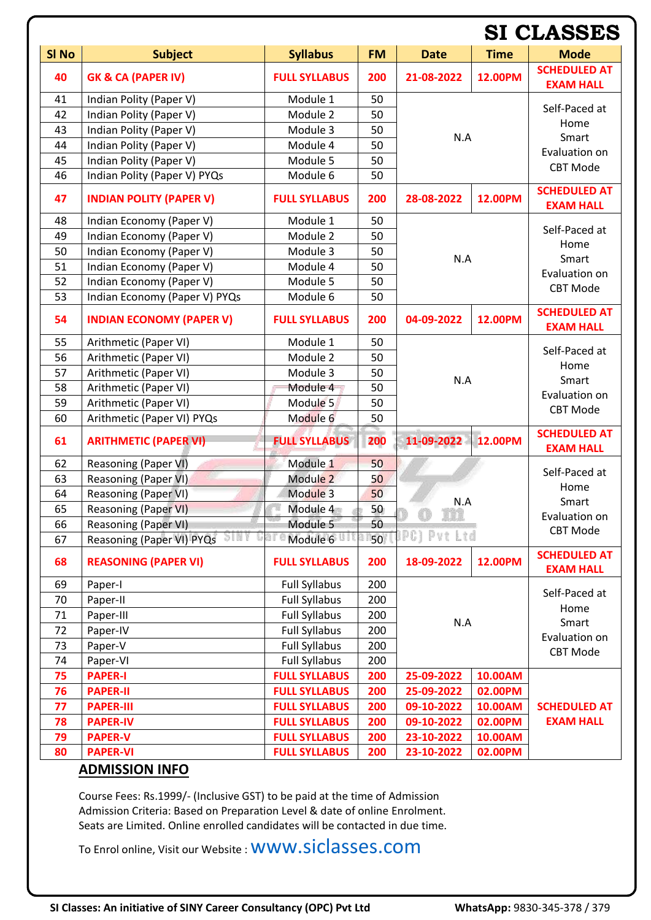|                  |                                   |                      |           |                              | <b>SI CLASSES</b> |                                         |  |
|------------------|-----------------------------------|----------------------|-----------|------------------------------|-------------------|-----------------------------------------|--|
| SI <sub>No</sub> | <b>Subject</b>                    | <b>Syllabus</b>      | <b>FM</b> | <b>Date</b>                  | <b>Time</b>       | <b>Mode</b>                             |  |
| 40               | <b>GK &amp; CA (PAPER IV)</b>     | <b>FULL SYLLABUS</b> | 200       | 21-08-2022<br>12.00PM        |                   | <b>SCHEDULED AT</b><br><b>EXAM HALL</b> |  |
| 41               | Indian Polity (Paper V)           | Module 1             | 50        |                              |                   | Self-Paced at                           |  |
| 42               | Indian Polity (Paper V)           | Module 2             | 50        |                              |                   | Home                                    |  |
| 43               | Indian Polity (Paper V)           | Module 3             | 50        | N.A                          |                   | Smart                                   |  |
| 44               | Indian Polity (Paper V)           | Module 4             | 50        |                              |                   | Evaluation on                           |  |
| 45               | Indian Polity (Paper V)           | Module 5             | 50        |                              |                   | <b>CBT Mode</b>                         |  |
| 46               | Indian Polity (Paper V) PYQs      | Module 6             | 50        |                              |                   |                                         |  |
| 47               | <b>INDIAN POLITY (PAPER V)</b>    | <b>FULL SYLLABUS</b> | 200       | 28-08-2022                   | 12.00PM           | <b>SCHEDULED AT</b><br><b>EXAM HALL</b> |  |
| 48               | Indian Economy (Paper V)          | Module 1             | 50        |                              |                   | Self-Paced at                           |  |
| 49               | Indian Economy (Paper V)          | Module 2             | 50        |                              |                   | Home<br>Smart                           |  |
| 50               | Indian Economy (Paper V)          | Module 3             | 50        | N.A                          |                   |                                         |  |
| 51               | Indian Economy (Paper V)          | Module 4             | 50        |                              |                   | Evaluation on                           |  |
| 52               | Indian Economy (Paper V)          | Module 5             | 50        |                              |                   | <b>CBT Mode</b>                         |  |
| 53               | Indian Economy (Paper V) PYQs     | Module 6             | 50        |                              |                   |                                         |  |
| 54               | <b>INDIAN ECONOMY (PAPER V)</b>   | <b>FULL SYLLABUS</b> | 200       | 04-09-2022                   | 12.00PM           | <b>SCHEDULED AT</b><br><b>EXAM HALL</b> |  |
| 55               | Arithmetic (Paper VI)             | Module 1             | 50        |                              |                   | Self-Paced at                           |  |
| 56               | Arithmetic (Paper VI)             | Module 2             | 50        | N.A<br>11-09-2022<br>12.00PM |                   | Home                                    |  |
| 57               | Arithmetic (Paper VI)             | Module 3             | 50        |                              |                   | Smart                                   |  |
| 58               | Arithmetic (Paper VI)             | Module 4             | 50        |                              |                   | Evaluation on<br><b>CBT Mode</b>        |  |
| 59               | Arithmetic (Paper VI)             | Module <sub>5</sub>  | 50        |                              |                   |                                         |  |
| 60               | Arithmetic (Paper VI) PYQs        | Module 6             | 50        |                              |                   |                                         |  |
| 61               | <b>ARITHMETIC (PAPER VI)</b>      | <b>FULL SYLLABUS</b> | 200       |                              |                   | <b>SCHEDULED AT</b><br><b>EXAM HALL</b> |  |
| 62               | Reasoning (Paper VI)              | Module 1             | 50        |                              |                   |                                         |  |
| 63               | Reasoning (Paper VI)              | Module 2             | 50        |                              |                   | Self-Paced at<br>Home                   |  |
| 64               | Reasoning (Paper VI)              | Module 3             | 50        | N.A                          |                   | Smart                                   |  |
| 65               | Reasoning (Paper VI)              | Module 4             | 50        |                              |                   | Evaluation on                           |  |
| 66               | Reasoning (Paper VI)              | Module 5             | 50        |                              |                   | <b>CBT Mode</b>                         |  |
| 67               | 5101<br>Reasoning (Paper VI) PYQs | Module 6             | 50        | JPC] Pvt Ltd                 |                   |                                         |  |
| 68               | <b>REASONING (PAPER VI)</b>       | <b>FULL SYLLABUS</b> | 200       | 18-09-2022                   | 12.00PM           | <b>SCHEDULED AT</b><br><b>EXAM HALL</b> |  |
| 69               | Paper-I                           | <b>Full Syllabus</b> | 200       |                              |                   |                                         |  |
| 70               | Paper-II                          | <b>Full Syllabus</b> | 200       | N.A                          |                   | Self-Paced at<br>Home<br>Smart          |  |
| 71               | Paper-III                         | <b>Full Syllabus</b> | 200       |                              |                   |                                         |  |
| 72               | Paper-IV                          | <b>Full Syllabus</b> | 200       |                              |                   | Evaluation on<br><b>CBT Mode</b>        |  |
| 73               | Paper-V                           | <b>Full Syllabus</b> | 200       |                              |                   |                                         |  |
| 74               | Paper-VI                          | <b>Full Syllabus</b> | 200       |                              |                   |                                         |  |
| 75               | <b>PAPER-I</b>                    | <b>FULL SYLLABUS</b> | 200       | 25-09-2022<br>10.00AM        |                   |                                         |  |
| 76               | <b>PAPER-II</b>                   | <b>FULL SYLLABUS</b> | 200       | 25-09-2022                   | 02.00PM           |                                         |  |
| 77               | <b>PAPER-III</b>                  | <b>FULL SYLLABUS</b> | 200       | 09-10-2022                   | 10.00AM           | <b>SCHEDULED AT</b>                     |  |
| 78               | <b>PAPER-IV</b>                   | <b>FULL SYLLABUS</b> | 200       | 09-10-2022                   | 02.00PM           | <b>EXAM HALL</b>                        |  |
| 79               | <b>PAPER-V</b>                    | <b>FULL SYLLABUS</b> | 200       | 23-10-2022<br>10.00AM        |                   |                                         |  |
| 80               | <b>PAPER-VI</b>                   | <b>FULL SYLLABUS</b> | 200       | 23-10-2022<br>02.00PM        |                   |                                         |  |

#### **ADMISSION INFO**

Course Fees: Rs.1999/- (Inclusive GST) to be paid at the time of Admission Admission Criteria: Based on Preparation Level & date of online Enrolment. Seats are Limited. Online enrolled candidates will be contacted in due time.

To Enrol online, Visit our Website : [www.siclasses.com](http://www.siclasses.com/)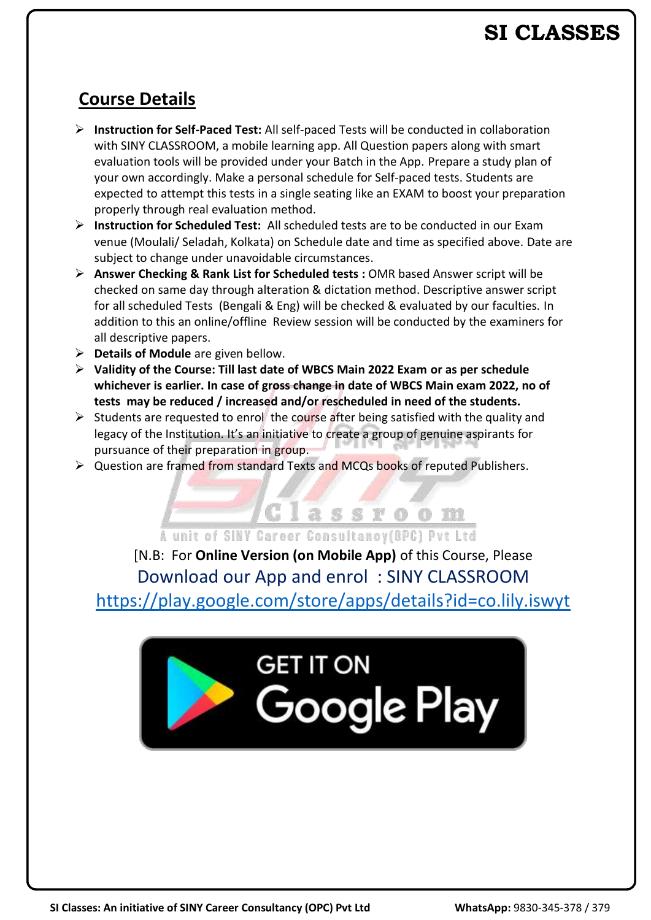### **SI CLASSES**

#### **Course Details**

- ➢ **Instruction for Self-Paced Test:** All self-paced Tests will be conducted in collaboration with SINY CLASSROOM, a mobile learning app. All Question papers along with smart evaluation tools will be provided under your Batch in the App. Prepare a study plan of your own accordingly. Make a personal schedule for Self-paced tests. Students are expected to attempt this tests in a single seating like an EXAM to boost your preparation properly through real evaluation method.
- ➢ **Instruction for Scheduled Test:** All scheduled tests are to be conducted in our Exam venue (Moulali/ Seladah, Kolkata) on Schedule date and time as specified above. Date are subject to change under unavoidable circumstances.
- ➢ **Answer Checking & Rank List for Scheduled tests :** OMR based Answer script will be checked on same day through alteration & dictation method. Descriptive answer script for all scheduled Tests (Bengali & Eng) will be checked & evaluated by our faculties. In addition to this an online/offline Review session will be conducted by the examiners for all descriptive papers.
- ➢ **Details of Module** are given bellow.
- ➢ **Validity of the Course: Till last date of WBCS Main 2022 Exam or as per schedule whichever is earlier. In case of gross change in date of WBCS Main exam 2022, no of tests may be reduced / increased and/or rescheduled in need of the students.**
- $\triangleright$  Students are requested to enrol the course after being satisfied with the quality and legacy of the Institution. It's an initiative to create a group of genuine aspirants for pursuance of their preparation in group.
- ➢ Question are framed from standard Texts and MCQs books of reputed Publishers.

Classroom A unit of SINY Career Consultancy(OPC) Pyt Ltd [N.B: For **Online Version (on Mobile App)** of this Course, Please Download our App and enrol : SINY CLASSROOM <https://play.google.com/store/apps/details?id=co.lily.iswyt>

# **GET IT ON Google Play**